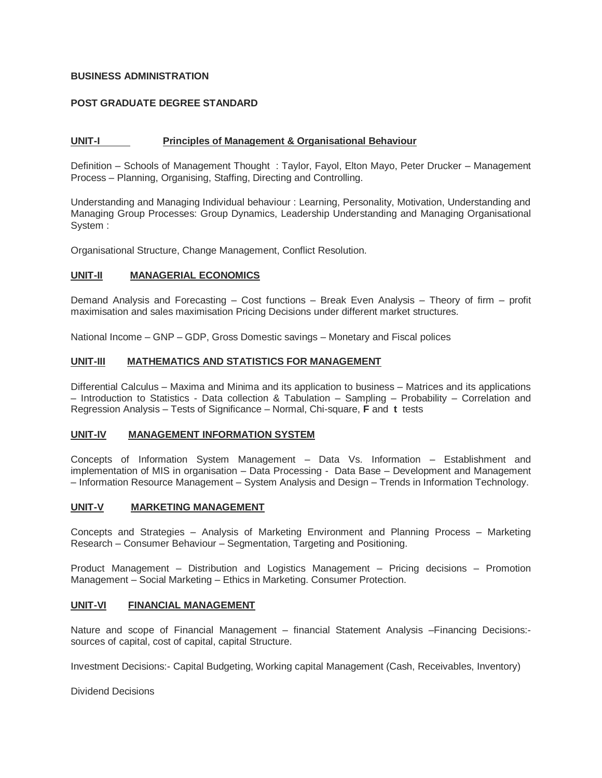## **BUSINESS ADMINISTRATION**

# **POST GRADUATE DEGREE STANDARD**

## **UNIT-I Principles of Management & Organisational Behaviour**

Definition – Schools of Management Thought : Taylor, Fayol, Elton Mayo, Peter Drucker – Management Process – Planning, Organising, Staffing, Directing and Controlling.

Understanding and Managing Individual behaviour : Learning, Personality, Motivation, Understanding and Managing Group Processes: Group Dynamics, Leadership Understanding and Managing Organisational System :

Organisational Structure, Change Management, Conflict Resolution.

## **UNIT-II MANAGERIAL ECONOMICS**

Demand Analysis and Forecasting – Cost functions – Break Even Analysis – Theory of firm – profit maximisation and sales maximisation Pricing Decisions under different market structures.

National Income – GNP – GDP, Gross Domestic savings – Monetary and Fiscal polices

# **UNIT-III MATHEMATICS AND STATISTICS FOR MANAGEMENT**

Differential Calculus – Maxima and Minima and its application to business – Matrices and its applications – Introduction to Statistics - Data collection & Tabulation – Sampling – Probability – Correlation and Regression Analysis – Tests of Significance – Normal, Chi-square, **F** and **t** tests

#### **UNIT-IV MANAGEMENT INFORMATION SYSTEM**

Concepts of Information System Management – Data Vs. Information – Establishment and implementation of MIS in organisation – Data Processing - Data Base – Development and Management – Information Resource Management – System Analysis and Design – Trends in Information Technology.

### **UNIT-V MARKETING MANAGEMENT**

Concepts and Strategies – Analysis of Marketing Environment and Planning Process – Marketing Research – Consumer Behaviour – Segmentation, Targeting and Positioning.

Product Management – Distribution and Logistics Management – Pricing decisions – Promotion Management – Social Marketing – Ethics in Marketing. Consumer Protection.

### **UNIT-VI FINANCIAL MANAGEMENT**

Nature and scope of Financial Management – financial Statement Analysis –Financing Decisions: sources of capital, cost of capital, capital Structure.

Investment Decisions:- Capital Budgeting, Working capital Management (Cash, Receivables, Inventory)

Dividend Decisions